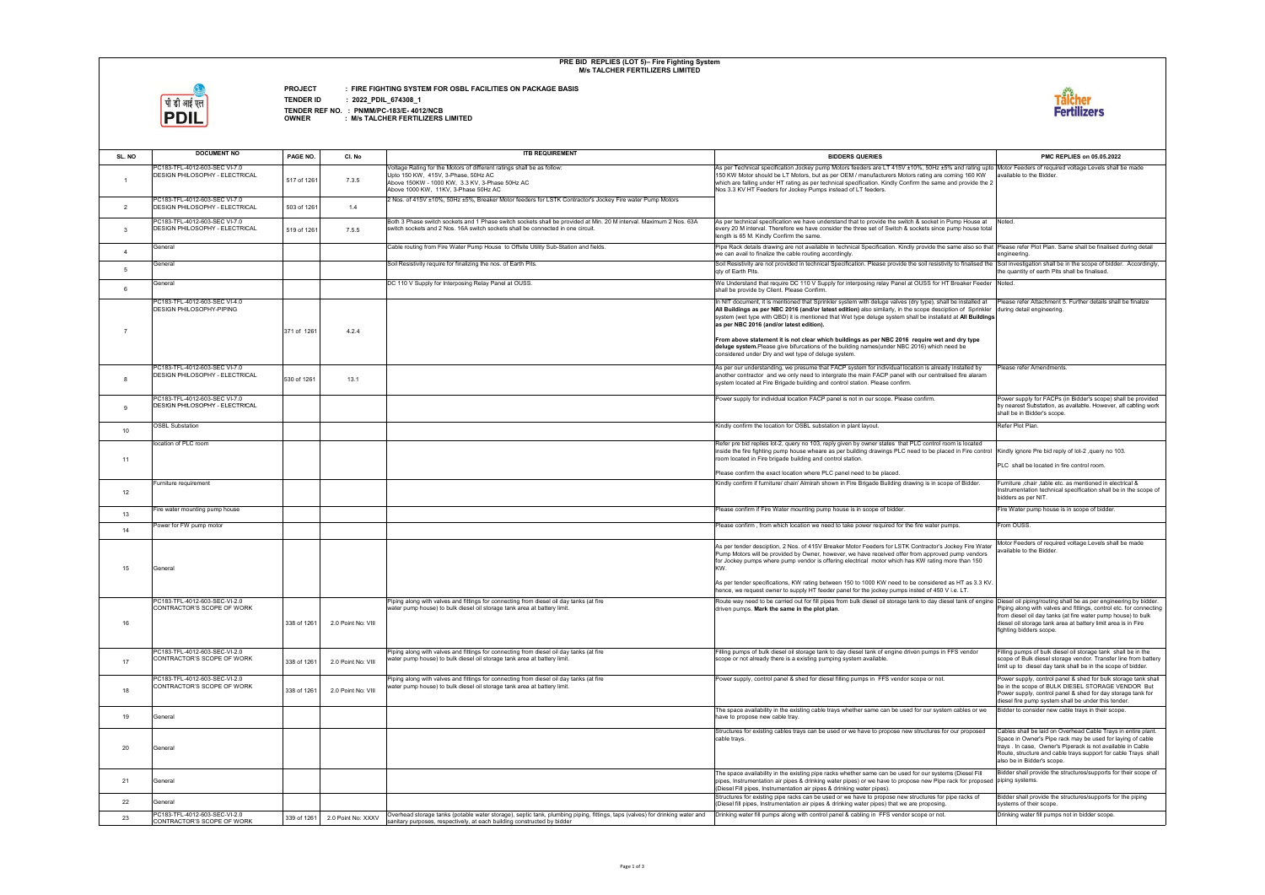## **PRE BID REPLIES (LOT 5)– Fire Fighting System M/s TALCHER FERTILIZERS LIMITED**



**PROJECT : FIRE FIGHTING SYSTEM FOR OSBL FACILITIES ON PACKAGE BASIS**

**TENDER ID : 2022\_PDIL\_674308\_1**

**TENDER REF NO. : PNMM/PC-183/E- 4012/NCB OWNER : M/s TALCHER FERTILIZERS LIMITED**

|                                                   | PMC REPLIES on 05.05.2022                                                                                                                                                                                                                                                                          |
|---------------------------------------------------|----------------------------------------------------------------------------------------------------------------------------------------------------------------------------------------------------------------------------------------------------------------------------------------------------|
| ng 160 KW<br>provide the 2                        | nd rating upto Motor Feeders of required voltage Levels shall be made<br>available to the Bidder.                                                                                                                                                                                                  |
|                                                   |                                                                                                                                                                                                                                                                                                    |
| ip House at<br>p house total                      | Noted.                                                                                                                                                                                                                                                                                             |
|                                                   | le also so that Please refer Plot Plan. Same shall be finalised during detail<br>engineering.                                                                                                                                                                                                      |
| o finalised the                                   | Soil investigation shall be in the scope of bidder. Accordingly,<br>the quantity of earth Pits shall be finalised.                                                                                                                                                                                 |
| eaker Feeder                                      | Noted.                                                                                                                                                                                                                                                                                             |
| installed at<br>ı of Sprinkler<br>t All Buildings | Please refer Attachment 5. Further details shall be finalize<br>during detail engineering.                                                                                                                                                                                                         |
| dry type<br>be                                    |                                                                                                                                                                                                                                                                                                    |
| stalled by<br>fire alaram                         | Please refer Amendments.                                                                                                                                                                                                                                                                           |
|                                                   | Power supply for FACPs (in Bidder's scope) shall be provided<br>by nearest Substation, as available. However, all cabling work<br>shall be in Bidder's scope.                                                                                                                                      |
|                                                   | Refer Plot Plan.                                                                                                                                                                                                                                                                                   |
| is located<br>n Fire control                      | Kindly ignore Pre bid reply of lot-2, query no 103.                                                                                                                                                                                                                                                |
|                                                   | PLC shall be located in fire control room.                                                                                                                                                                                                                                                         |
| of Bidder.                                        | Furniture , chair , table etc. as mentioned in electrical &<br>Instrumentation technical specification shall be in the scope of<br>bidders as per NIT.                                                                                                                                             |
|                                                   | Fire Water pump house is in scope of bidder.                                                                                                                                                                                                                                                       |
| S.                                                | From OUSS.                                                                                                                                                                                                                                                                                         |
| ey Fire Water<br>mp vendors<br>than 150           | Motor Feeders of required voltage Levels shall be made<br>available to the Bidder.                                                                                                                                                                                                                 |
| HT as 3.3 KV.<br>. LT.                            |                                                                                                                                                                                                                                                                                                    |
| ank of engine                                     | Diesel oil piping/routing shall be as per engineering by bidder.<br>Piping along with valves and fittings, control etc. for connecting<br>from diesel oil day tanks (at fire water pump house) to bulk<br>diesel oil storage tank area at battery limit area is in Fire<br>fighting bidders scope. |
| ; vendor                                          | Filling pumps of bulk diesel oil storage tank shall be in the<br>scope of Bulk diesel storage vendor. Transfer line from battery<br>limit up to diesel day tank shall be in the scope of bidder.                                                                                                   |
|                                                   | Power supply, control panel & shed for bulk storage tank shall<br>be in the scope of BULK DIESEL STORAGE VENDOR But<br>Power supply, control panel & shed for day storage tank for<br>diesel fire pump system shall be under this tender.                                                          |
| ables or we                                       | Bidder to consider new cable trays in their scope.                                                                                                                                                                                                                                                 |
| r proposed                                        | Cables shall be laid on Overhead Cable Trays in entire plant.<br>Space in Owner's Pipe rack may be used for laying of cable<br>trays. In case, Owner's Piperack is not available in Cable<br>Route, structure and cable trays support for cable Trays shall<br>also be in Bidder's scope.          |
| Diesel Fill<br>for proposed                       | Bidder shall provide the structures/supports for their scope of<br>piping systems.                                                                                                                                                                                                                 |
| racks of                                          | Bidder shall provide the structures/supports for the piping<br>systems of their scope.                                                                                                                                                                                                             |
|                                                   | Drinking water fill pumps not in bidder scope.                                                                                                                                                                                                                                                     |
|                                                   |                                                                                                                                                                                                                                                                                                    |

| SL. NO          | <b>DOCUMENT NO</b>                                                     | PAGE NO.    | CI. No                         | <b>ITB REQUIREMENT</b>                                                                                                                                                                                  | <b>BIDDERS QUERIES</b>                                                                                                                                                                                                                                                                                                                                                               | PMC REPLIES on 05.05.2022                                                                                                                                                                                                                                                                 |
|-----------------|------------------------------------------------------------------------|-------------|--------------------------------|---------------------------------------------------------------------------------------------------------------------------------------------------------------------------------------------------------|--------------------------------------------------------------------------------------------------------------------------------------------------------------------------------------------------------------------------------------------------------------------------------------------------------------------------------------------------------------------------------------|-------------------------------------------------------------------------------------------------------------------------------------------------------------------------------------------------------------------------------------------------------------------------------------------|
|                 | PC183-TFL-4012-603-SEC VI-7.0                                          |             |                                | Voltage Rating for the Motors of different ratings shall be as follow:                                                                                                                                  | As per Technical specification Jockey pump Motors feeders are LT 415V ±10%, 50Hz ±5% and rating upto Motor Feeders of required voltage Levels shall be made                                                                                                                                                                                                                          |                                                                                                                                                                                                                                                                                           |
|                 | DESIGN PHILOSOPHY - ELECTRICAL                                         | 517 of 1261 | 7.3.5                          | Upto 150 KW, 415V, 3-Phase, 50Hz AC<br>Above 150KW - 1000 KW, 3.3 KV, 3-Phase 50Hz AC                                                                                                                   | 150 KW Motor should be LT Motors, but as per OEM / manufacturers Motors rating are coming 160 KW<br>which are falling under HT rating as per technical specification. Kindly Confirm the same and provide the 2                                                                                                                                                                      | available to the Bidder.                                                                                                                                                                                                                                                                  |
|                 |                                                                        |             |                                | Above 1000 KW, 11KV, 3-Phase 50Hz AC                                                                                                                                                                    | Nos 3.3 KV HT Feeders for Jockey Pumps instead of LT feeders.                                                                                                                                                                                                                                                                                                                        |                                                                                                                                                                                                                                                                                           |
| 2               | PC183-TFL-4012-603-SEC VI-7.0<br><b>DESIGN PHILOSOPHY - ELECTRICAL</b> | 503 of 1261 | 1.4                            | 2 Nos. of 415V ±10%, 50Hz ±5%, Breaker Motor feeders for LSTK Contractor's Jockey Fire water Pump Motors                                                                                                |                                                                                                                                                                                                                                                                                                                                                                                      |                                                                                                                                                                                                                                                                                           |
| $\mathbf{3}$    | PC183-TFL-4012-603-SEC VI-7.0<br><b>DESIGN PHILOSOPHY - ELECTRICAL</b> | 519 of 1261 | 7.5.5                          | Both 3 Phase switch sockets and 1 Phase switch sockets shall be provided at Min. 20 M interval. Maximum 2 Nos. 63A<br>switch sockets and 2 Nos. 16A switch sockets shall be connected in one circuit.   | As per technical specification we have understand that to provide the switch & socket in Pump House at<br>every 20 M interval. Therefore we have consider the three set of Switch & sockets since pump house total<br>length is 65 M. Kindly Confirm the same.                                                                                                                       | Noted.                                                                                                                                                                                                                                                                                    |
|                 | General                                                                |             |                                | Cable routing from Fire Water Pump House to Offsite Utility Sub-Station and fields.                                                                                                                     | Pipe Rack details drawing are not available in technical Specification. Kindly provide the same also so that Please refer Plot Plan. Same shall be finalised during detail<br>we can avail to finalize the cable routing accordingly.                                                                                                                                                | engineering.                                                                                                                                                                                                                                                                              |
| $5\overline{5}$ | General                                                                |             |                                | Soil Resistivity require for finalizing the nos. of Earth Pits.                                                                                                                                         | Soil Resistivity are not provided in technical Specification. Please provide the soil resistivity to finalised the Soil investigation shall be in the scope of bidder. Accordingly,<br>qty of Earth Pits.                                                                                                                                                                            | the quantity of earth Pits shall be finalised.                                                                                                                                                                                                                                            |
| -6              | General                                                                |             |                                | DC 110 V Supply for Interposing Relay Panel at OUSS                                                                                                                                                     | We Understand that require DC 110 V Supply for interposing relay Panel at OUSS for HT Breaker Feeder Noted.<br>shall be provide by Client. Please Confirm.                                                                                                                                                                                                                           |                                                                                                                                                                                                                                                                                           |
|                 | PC183-TFL-4012-603-SEC VI-4.0<br>DESIGN PHILOSOPHY-PIPING              |             |                                |                                                                                                                                                                                                         | In NIT document, it is mentioned that Sprinkler system with deluge valves (dry type), shall be installed at<br>All Buildings as per NBC 2016 (and/or latest edition) also similarly, in the scope desciption of Sprinkler<br>system (wet type with QBD) it is mentioned that Wet type deluge system shall be installatd at All Buildings<br>as per NBC 2016 (and/or latest edition). | Please refer Attachment 5. Further details shall be finalize<br>during detail engineering.                                                                                                                                                                                                |
|                 |                                                                        | 371 of 1261 | 4.2.4                          |                                                                                                                                                                                                         | From above statement it is not clear which buildings as per NBC 2016 require wet and dry type<br>deluge system. Please give bifurcations of the building names(under NBC 2016) which need be<br>considered under Dry and wet type of deluge system.                                                                                                                                  |                                                                                                                                                                                                                                                                                           |
|                 | PC183-TFL-4012-603-SEC VI-7.0<br>DESIGN PHILOSOPHY - ELECTRICAL        | 530 of 1261 | 13.1                           |                                                                                                                                                                                                         | As per our understanding, we presume that FACP system for individual location is already installed by<br>another contractor and we only need to intergrate the main FACP panel with our centralised fire alaram<br>system located at Fire Brigade building and control station. Please confirm                                                                                       | Please refer Amendments.                                                                                                                                                                                                                                                                  |
|                 | PC183-TFL-4012-603-SEC VI-7.0<br>DESIGN PHILOSOPHY - ELECTRICAL        |             |                                |                                                                                                                                                                                                         | Power supply for individual location FACP panel is not in our scope. Please confirm.                                                                                                                                                                                                                                                                                                 | Power supply for FACPs (in Bidder's scope) shall be provided<br>by nearest Substation, as available. However, all cabling work<br>shall be in Bidder's scope.                                                                                                                             |
| 10              | <b>OSBL Substation</b>                                                 |             |                                |                                                                                                                                                                                                         | Kindly confirm the location for OSBL substation in plant layout.                                                                                                                                                                                                                                                                                                                     | Refer Plot Plan                                                                                                                                                                                                                                                                           |
|                 | location of PLC room                                                   |             |                                |                                                                                                                                                                                                         | Refer pre bid replies lot-2, query no 103, reply given by owner states that PLC control room is located<br>inside the fire fighting pump house wheare as per building drawings PLC need to be placed in Fire control Kindly ignore Pre bid reply of lot-2 ,query no 103.                                                                                                             |                                                                                                                                                                                                                                                                                           |
| 11              |                                                                        |             |                                |                                                                                                                                                                                                         | room located in Fire brigade building and control station.<br>Please confirm the exact location where PLC panel need to be placed.                                                                                                                                                                                                                                                   | PLC shall be located in fire control room.                                                                                                                                                                                                                                                |
| 12              | Furniture requirement                                                  |             |                                |                                                                                                                                                                                                         | Kindly confirm if furniture/ chair/ Almirah shown in Fire Brigade Building drawing is in scope of Bidder.                                                                                                                                                                                                                                                                            | Furniture .chair .table etc. as mentioned in electrical &<br>Instrumentation technical specification shall be in the scope of<br>bidders as per NIT.                                                                                                                                      |
| 13              | Fire water mounting pump house                                         |             |                                |                                                                                                                                                                                                         | Please confirm if Fire Water mounting pump house is in scope of bidder.                                                                                                                                                                                                                                                                                                              | Fire Water pump house is in scope of bidder.                                                                                                                                                                                                                                              |
| 14              | Power for FW pump motor                                                |             |                                |                                                                                                                                                                                                         | Please confirm, from which location we need to take power required for the fire water pumps.                                                                                                                                                                                                                                                                                         | From OUSS.                                                                                                                                                                                                                                                                                |
| 15              | General                                                                |             |                                |                                                                                                                                                                                                         | As per tender desciption, 2 Nos. of 415V Breaker Motor Feeders for LSTK Contractor's Jockey Fire Water<br>Pump Motors will be provided by Owner, however, we have received offer from approved pump vendors<br>for Jockey pumps where pump vendor is offering electrical motor which has KW rating more than 150<br>KW.                                                              | Motor Feeders of required voltage Levels shall be made<br>vailable to the Bidder.                                                                                                                                                                                                         |
|                 |                                                                        |             |                                |                                                                                                                                                                                                         | As per tender specifications, KW rating between 150 to 1000 KW need to be considered as HT as 3.3 KV.<br>hence, we request owner to supply HT feeder panel for the jockey pumps insted of 450 V i.e. LT.                                                                                                                                                                             |                                                                                                                                                                                                                                                                                           |
|                 | PC183-TFL-4012-603-SEC-VI-2.0<br>CONTRACTOR'S SCOPE OF WORK            |             |                                | Piping along with valves and fittings for connecting from diesel oil day tanks (at fire<br>water pump house) to bulk diesel oil storage tank area at battery limit.                                     | Route way need to be carried out for fill pipes from bulk diesel oil storage tank to day diesel tank of engine Diesel oil piping/routing shall be as per engineering by bidder.<br>driven pumps. Mark the same in the plot plan.                                                                                                                                                     | Piping along with valves and fittings, control etc. for connecting                                                                                                                                                                                                                        |
| 16              |                                                                        |             | 338 of 1261 2.0 Point No: VIII |                                                                                                                                                                                                         |                                                                                                                                                                                                                                                                                                                                                                                      | from diesel oil day tanks (at fire water pump house) to bulk<br>diesel oil storage tank area at battery limit area is in Fire<br>fighting bidders scope.                                                                                                                                  |
| 17              | PC183-TFL-4012-603-SEC-VI-2.0<br>CONTRACTOR'S SCOPE OF WORK            | 338 of 1261 | 2.0 Point No: VIII             | Piping along with valves and fittings for connecting from diesel oil day tanks (at fire<br>water pump house) to bulk diesel oil storage tank area at battery limit.                                     | Filling pumps of bulk diesel oil storage tank to day diesel tank of engine driven pumps in FFS vendor<br>scope or not already there is a existing pumping system available.                                                                                                                                                                                                          | Filling pumps of bulk diesel oil storage tank shall be in the<br>scope of Bulk diesel storage vendor. Transfer line from battery<br>limit up to diesel day tank shall be in the scope of bidder.                                                                                          |
| 18              | PC183-TFL-4012-603-SEC-VI-2.0<br>CONTRACTOR'S SCOPE OF WORK            | 338 of 1261 | 2.0 Point No: VIII             | Piping along with valves and fittings for connecting from diesel oil day tanks (at fire<br>water pump house) to bulk diesel oil storage tank area at battery limit.                                     | Power supply, control panel & shed for diesel filling pumps in FFS vendor scope or not.                                                                                                                                                                                                                                                                                              | Power supply, control panel & shed for bulk storage tank shall<br>be in the scope of BULK DIESEL STORAGE VENDOR But<br>Power supply, control panel & shed for day storage tank for<br>diesel fire pump system shall be under this tender.                                                 |
| 19              | General                                                                |             |                                |                                                                                                                                                                                                         | The space availability in the existing cable trays whether same can be used for our system cables or we<br>have to propose new cable tray.                                                                                                                                                                                                                                           | Bidder to consider new cable trays in their scope.                                                                                                                                                                                                                                        |
| 20              | General                                                                |             |                                |                                                                                                                                                                                                         | Structures for existing cables trays can be used or we have to propose new structures for our proposed<br>cable trays.                                                                                                                                                                                                                                                               | Cables shall be laid on Overhead Cable Trays in entire plant.<br>Space in Owner's Pipe rack may be used for laying of cable<br>trays. In case, Owner's Piperack is not available in Cable<br>Route, structure and cable trays support for cable Trays shall<br>also be in Bidder's scope. |
| 21              | General                                                                |             |                                |                                                                                                                                                                                                         | The space availability in the existing pipe racks whether same can be used for our systems (Diesel Fill<br>pipes, Instrumentation air pipes & drinking water pipes) or we have to propose new Pipe rack for proposed piping systems.<br>(Diesel Fill pipes, Instrumentation air pipes & drinking water pipes).                                                                       | Bidder shall provide the structures/supports for their scope of                                                                                                                                                                                                                           |
| 22              | General                                                                |             |                                |                                                                                                                                                                                                         | Structures for existing pipe racks can be used or we have to propose new structures for pipe racks of<br>(Diesel fill pipes, Instrumentation air pipes & drinking water pipes) that we are proposing.                                                                                                                                                                                | Bidder shall provide the structures/supports for the piping<br>systems of their scope.                                                                                                                                                                                                    |
| 23              | PC183-TFL-4012-603-SEC-VI-2.0<br>CONTRACTOR'S SCOPE OF WORK            | 339 of 1261 | 2.0 Point No: XXXV             | Overhead storage tanks (potable water storage), septic tank, plumbing piping, fittings, taps (valves) for drinking water and<br>sanitary purposes, respectively, at each building constructed by bidder | Drinking water fill pumps along with control panel & cabling in FFS vendor scope or not.                                                                                                                                                                                                                                                                                             | Drinking water fill pumps not in bidder scope.                                                                                                                                                                                                                                            |

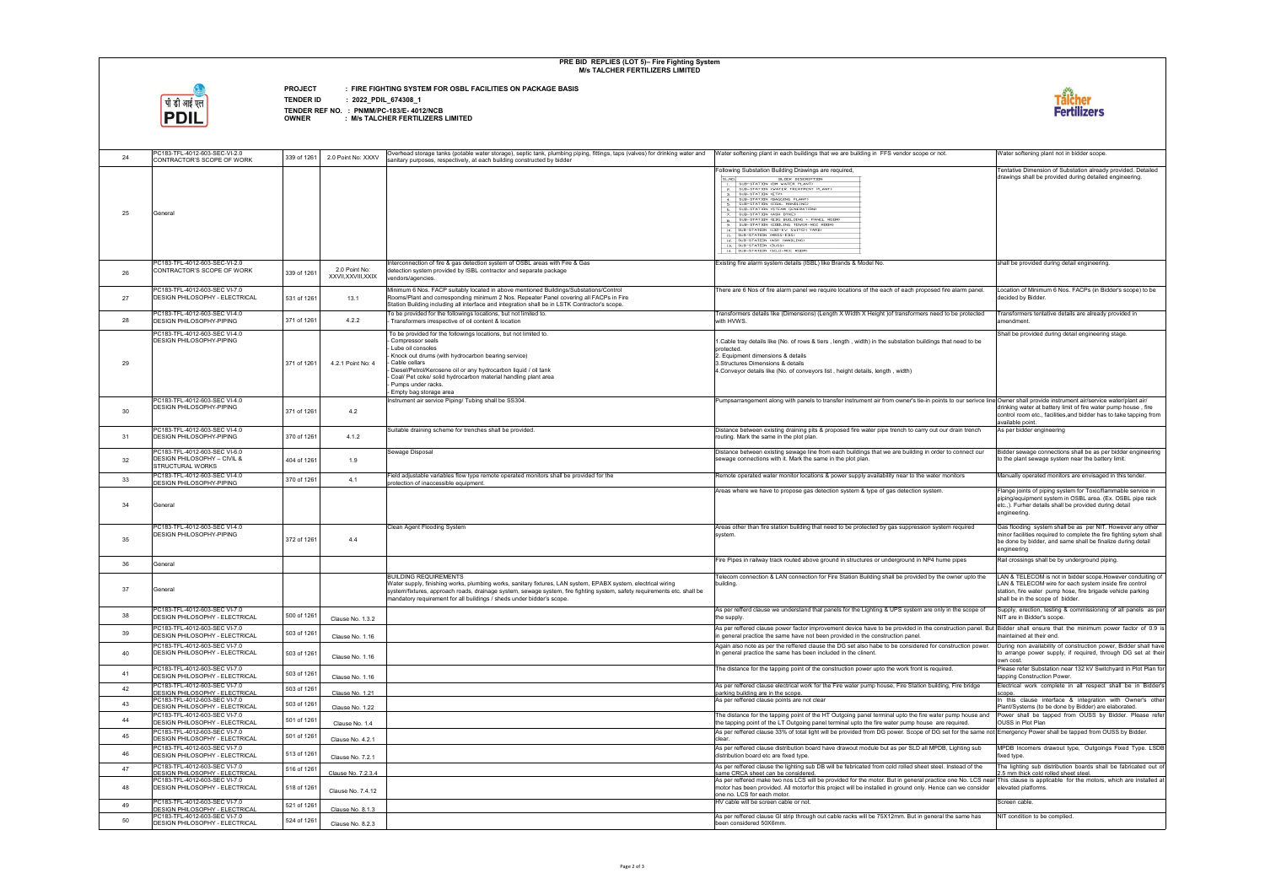## **PRE BID REPLIES (LOT 5)– Fire Fighting System M/s TALCHER FERTILIZERS LIMITED**



**PROJECT : FIRE FIGHTING SYSTEM FOR OSBL FACILITIES ON PACKAGE BASIS**

**TENDER ID : 2022\_PDIL\_674308\_1**

**TENDER REF NO. : PNMM/PC-183/E- 4012/NCB OWNER : M/s TALCHER FERTILIZERS LIMITED**

| 24       | PC183-TFL-4012-603-SEC-VI-2.0<br>CONTRACTOR'S SCOPE OF WORK                                        | 339 of 1261 | 2.0 Point No: XXXV                 | Overhead storage tanks (potable water storage), septic tank, plumbing piping, fittings, taps (valves) for drinking water and<br>sanitary purposes, respectively, at each building constructed by bidder                                                                                                                                                                           | Water softening plant in each buildings that we are building in FFS vendor scope or not.                                                                                                                                                                                                                                                                                                                                                                                                                                                                                          | Water softening plant not in bidder scope.                                                                                                                                                                                                                                                                                                |
|----------|----------------------------------------------------------------------------------------------------|-------------|------------------------------------|-----------------------------------------------------------------------------------------------------------------------------------------------------------------------------------------------------------------------------------------------------------------------------------------------------------------------------------------------------------------------------------|-----------------------------------------------------------------------------------------------------------------------------------------------------------------------------------------------------------------------------------------------------------------------------------------------------------------------------------------------------------------------------------------------------------------------------------------------------------------------------------------------------------------------------------------------------------------------------------|-------------------------------------------------------------------------------------------------------------------------------------------------------------------------------------------------------------------------------------------------------------------------------------------------------------------------------------------|
| 25       | General                                                                                            |             |                                    |                                                                                                                                                                                                                                                                                                                                                                                   | Following Substation Building Drawings are required,<br>BLOCK DESCRIPTION<br>SL.ND.<br>SUB-STATION (DM WATER PLANT)<br>SUB-STATION (WATER TREATMENT PLANT<br>3. SUB-STATION (ETP)<br>4. SUB-STATION (BAGGING PLANT)<br>5. SUB-STATION (COAL HANDLING)<br>6. SUB-STATION (STEAM GENERATION:<br>7. SUB-STATION (ASH DYKE)<br>8. SUB-STATION (EDG BUILDING + PANEL ROOM)<br>SUB-STATION (COOLING TOWER-MCC ROOM)<br>10. SUB-STATION (132-KV SWITCH YARD)<br>1L SUB-STATION (MRSS-EDS)<br>12. SUB-STATION (ASH HANDLING)<br>13. SUB-STATION (DUSS)<br>14. SUB-STATION (SILD-MCC ROOM) | Tentative Dimension of Substation already provided. Detailed<br>drawings shall be provided during detailed engineering.                                                                                                                                                                                                                   |
| 26       | PC183-TFL-4012-603-SEC-VI-2.0<br>CONTRACTOR'S SCOPE OF WORK                                        | 339 of 1261 | 2.0 Point No:<br>XXVII,XXVIII,XXIX | Interconnection of fire & gas detection system of OSBL areas with Fire & Gas<br>detection system provided by ISBL contractor and separate package<br>vendors/agencies.                                                                                                                                                                                                            | Existing fire alarm system details (ISBL) like Brands & Model No.                                                                                                                                                                                                                                                                                                                                                                                                                                                                                                                 | shall be provided during detail engineering.                                                                                                                                                                                                                                                                                              |
| 27       | PC183-TFL-4012-603-SEC VI-7.0<br><b>DESIGN PHILOSOPHY - ELECTRICAL</b>                             | 531 of 1261 | 13.1                               | Minimum 6 Nos. FACP suitably located in above mentioned Buildings/Substations/Control<br>Rooms/Plant and corresponding minimum 2 Nos. Repeater Panel covering all FACPs in Fire<br>Station Building including all interface and integration shall be in LSTK Contractor's scope.                                                                                                  | There are 6 Nos of fire alarm panel we require locations of the each of each proposed fire alarm panel.                                                                                                                                                                                                                                                                                                                                                                                                                                                                           | Location of Minimum 6 Nos. FACPs (in Bidder's scope) to be<br>decided by Bidder                                                                                                                                                                                                                                                           |
| 28       | PC183-TFL-4012-603-SEC VI-4.0<br><b>DESIGN PHILOSOPHY-PIPING</b>                                   | 371 of 1261 | 4.2.2                              | To be provided for the followings locations, but not limited to.<br>Transformers irrespective of oil content & location                                                                                                                                                                                                                                                           | Transformers details like (Dimensions) (Length X Width X Height )of transformers need to be protected<br>with HVWS.                                                                                                                                                                                                                                                                                                                                                                                                                                                               | Fransformers tentative details are already provided in<br>amendment.                                                                                                                                                                                                                                                                      |
| 29       | PC183-TFL-4012-603-SEC VI-4.0<br>DESIGN PHILOSOPHY-PIPING                                          | 371 of 1261 | 4.2.1 Point No: 4                  | To be provided for the followings locations, but not limited to.<br>Compressor seals<br>Lube oil consoles<br>- Knock out drums (with hydrocarbon bearing service)<br>- Cable cellars<br>- Diesel/Petrol/Kerosene oil or any hydrocarbon liquid / oil tank<br>- Coal/ Pet coke/ solid hydrocarbon material handling plant area<br>- Pumps under racks.<br>- Empty bag storage area | 1.Cable tray details like (No. of rows & tiers , length , width) in the substation buildings that need to be<br>protected.<br>2. Equipment dimensions & details<br>3.Structures Dimensions & details<br>4. Conveyor details like (No. of conveyors list, height details, length, width)                                                                                                                                                                                                                                                                                           | Shall be provided during detail engineering stage                                                                                                                                                                                                                                                                                         |
| 30       | PC183-TFL-4012-603-SEC VI-4.0<br>DESIGN PHILOSOPHY-PIPING                                          | 371 of 1261 | 4.2                                | Instrument air service Piping/ Tubing shall be SS304                                                                                                                                                                                                                                                                                                                              | Pumpsarrangement along with panels to transfer instrument air from owner's tie-in points to our serivce line Owner shall provide instrument air/service water/plant air/                                                                                                                                                                                                                                                                                                                                                                                                          | drinking water at battery limit of fire water pump house, fire<br>control room etc., facilities, and bidder has to take tapping from<br>available point.                                                                                                                                                                                  |
| 31       | PC183-TFL-4012-603-SEC VI-4.0<br><b>DESIGN PHILOSOPHY-PIPING</b>                                   | 370 of 1261 | 4.1.2                              | Suitable draining scheme for trenches shall be provided.                                                                                                                                                                                                                                                                                                                          | Distance between existing draining pits & proposed fire water pipe trench to carry out our drain trench<br>routing. Mark the same in the plot plan.                                                                                                                                                                                                                                                                                                                                                                                                                               | As per bidder engineering                                                                                                                                                                                                                                                                                                                 |
| 32       | PC183-TFL-4012-603-SEC VI-6.0<br><b>DESIGN PHILOSOPHY - CIVIL &amp;</b><br><b>STRUCTURAL WORKS</b> | 404 of 1261 | 1.9                                | Sewage Disposal                                                                                                                                                                                                                                                                                                                                                                   | Distance between existing sewage line from each buildings that we are building in order to connect our<br>sewage connections with it. Mark the same in the plot plan.                                                                                                                                                                                                                                                                                                                                                                                                             | Bidder sewage connections shall be as per bidder engineering<br>to the plant sewage system near the battery limit.                                                                                                                                                                                                                        |
| 33       | PC183-TFL-4012-603-SEC VI-4.0<br><b>DESIGN PHILOSOPHY-PIPING</b>                                   | 370 of 1261 | 4.1                                | Field adjustable variables flow type remote operated monitors shall be provided for the<br>protection of inaccessible equipment.                                                                                                                                                                                                                                                  | Remote operated water monitor locations & power supply availability near to the water monitors                                                                                                                                                                                                                                                                                                                                                                                                                                                                                    | Manually operated monitors are envisaged in this tender.                                                                                                                                                                                                                                                                                  |
| 34<br>35 | General<br>PC183-TFL-4012-603-SEC VI-4.0<br>DESIGN PHILOSOPHY-PIPING                               | 372 of 1261 | 4.4                                | Clean Agent Flooding System                                                                                                                                                                                                                                                                                                                                                       | Areas where we have to propose gas detection system & type of gas detection system.<br>Areas other than fire station building that need to be protected by gas suppression system required<br>system.                                                                                                                                                                                                                                                                                                                                                                             | Flange joints of piping system for Toxic/flammable service in<br>piping/equipment system in OSBL area. (Ex. OSBL pipe rack<br>etc.,). Furher details shall be provided during detail<br>engineering.<br>Gas flooding system shall be as per NIT. However any other<br>minor facilities required to complete the fire fighting sytem shall |
|          |                                                                                                    |             |                                    |                                                                                                                                                                                                                                                                                                                                                                                   | Fire Pipes in railway track routed above ground in structures or underground in NP4 hume pipes                                                                                                                                                                                                                                                                                                                                                                                                                                                                                    | be done by bidder, and same shall be finalize during detail<br>engineering<br>Rail crossings shall be by underground piping.                                                                                                                                                                                                              |
| 36       | General                                                                                            |             |                                    |                                                                                                                                                                                                                                                                                                                                                                                   |                                                                                                                                                                                                                                                                                                                                                                                                                                                                                                                                                                                   |                                                                                                                                                                                                                                                                                                                                           |
| 37       | General                                                                                            |             |                                    | <b>BUILDING REQUIREMENTS</b><br>Water supply, finishing works, plumbing works, sanitary fixtures, LAN system, EPABX system, electrical wiring<br>system/fixtures, approach roads, drainage system, sewage system, fire fighting system, safety requirements etc. shall be<br>mandatory requirement for all buildings / sheds under bidder's scope.                                | Telecom connection & LAN connection for Fire Station Building shall be provided by the owner upto the<br>building.                                                                                                                                                                                                                                                                                                                                                                                                                                                                | LAN & TELECOM is not in bidder scope. However conduiting of<br>LAN & TELECOM wire for each system inside fire control<br>station, fire water pump hose, fire brigade vehicle parking<br>shall be in the scope of bidder.                                                                                                                  |
| 38       | PC183-TFL-4012-603-SEC VI-7.0<br><b>DESIGN PHILOSOPHY - ELECTRICAL</b>                             | 500 of 1261 | Clause No. 1.3.2                   |                                                                                                                                                                                                                                                                                                                                                                                   | As per refferd clause we understand that panels for the Lighting & UPS system are only in the scope of<br>the supply.                                                                                                                                                                                                                                                                                                                                                                                                                                                             | Supply, erection, testing & commissioning of all panels as per<br>NIT are in Bidder's scope.                                                                                                                                                                                                                                              |
| 39       | PC183-TFL-4012-603-SEC VI-7.0<br><b>DESIGN PHILOSOPHY - ELECTRICAL</b>                             | 503 of 1261 | Clause No. 1.16                    |                                                                                                                                                                                                                                                                                                                                                                                   | As per reffered clause power factor improvement device have to be provided in the construction panel. But Bidder shall ensure that the minimum power factor of 0.9 is<br>in general practice the same have not been provided in the construction panel.                                                                                                                                                                                                                                                                                                                           | maintained at their end.                                                                                                                                                                                                                                                                                                                  |
| 40       | PC183-TFL-4012-603-SEC VI-7.0<br>DESIGN PHILOSOPHY - ELECTRICAL                                    | 503 of 1261 | Clause No. 1.16                    |                                                                                                                                                                                                                                                                                                                                                                                   | Again also note as per the reffered clause the DG set also habe to be considered for construction power.<br>In general practice the same has been included in the clinent.                                                                                                                                                                                                                                                                                                                                                                                                        | During non availability of construction power, Bidder shall have<br>to arrange power supply, if required, through DG set at their<br>own cost.                                                                                                                                                                                            |
| 41       | PC183-TFL-4012-603-SEC VI-7.0<br><b>DESIGN PHILOSOPHY - ELECTRICAL</b>                             | 503 of 1261 | Clause No. 1.16                    |                                                                                                                                                                                                                                                                                                                                                                                   | The distance for the tapping point of the construction power upto the work front is required.                                                                                                                                                                                                                                                                                                                                                                                                                                                                                     | Please refer Substation near 132 kV Switchyard in Plot Plan for<br>tapping Construction Power.                                                                                                                                                                                                                                            |
| 42       | PC183-TFL-4012-603-SEC VI-7.0<br>DESIGN PHILOSOPHY - ELECTRICAL                                    | 503 of 1261 | Clause No. 1.21                    |                                                                                                                                                                                                                                                                                                                                                                                   | As per reffered clause electrical work for the Fire water pump house, Fire Station building, Fire bridge<br>parking building are in the scope.                                                                                                                                                                                                                                                                                                                                                                                                                                    | Electrical work complete in all respect shall be in Bidder's<br>scope.                                                                                                                                                                                                                                                                    |
| 43       | PC183-TFL-4012-603-SEC VI-7.0<br>DESIGN PHILOSOPHY - ELECTRICAL                                    | 503 of 1261 | Clause No. 1.22                    |                                                                                                                                                                                                                                                                                                                                                                                   | As per reffered clause points are not clear                                                                                                                                                                                                                                                                                                                                                                                                                                                                                                                                       | In this clause interface & integration with Owner's other<br>Plant/Systems (to be done by Bidder) are elaborated.                                                                                                                                                                                                                         |
| 44       | PC183-TFL-4012-603-SEC VI-7.0<br><b>DESIGN PHILOSOPHY - ELECTRICAL</b>                             | 501 of 1261 | Clause No. 1.4                     |                                                                                                                                                                                                                                                                                                                                                                                   | The distance for the tapping point of the HT Outgoing panel terminal upto the fire water pump house and Power shall be tapped from OUSS by Bidder. Please refer<br>the tapping point of the LT Outgoing panel terminal upto the fire water pump house are required.                                                                                                                                                                                                                                                                                                               | <b>OUSS in Plot Plan</b>                                                                                                                                                                                                                                                                                                                  |
| 45       | PC183-TFL-4012-603-SEC VI-7.0<br>DESIGN PHILOSOPHY - ELECTRICAL                                    | 501 of 1261 | Clause No. 4.2.1                   |                                                                                                                                                                                                                                                                                                                                                                                   | As per reffered clause 33% of total light will be provided from DG power. Scope of DG set for the same not Emergency Power shall be tapped from OUSS by Bidder.<br>clear.                                                                                                                                                                                                                                                                                                                                                                                                         |                                                                                                                                                                                                                                                                                                                                           |
| 46       | PC183-TFL-4012-603-SEC VI-7.0<br><b>DESIGN PHILOSOPHY - ELECTRICAL</b>                             | 513 of 1261 | Clause No. 7.2.1                   |                                                                                                                                                                                                                                                                                                                                                                                   | As per reffered clause distribution board have drawout module but as per SLD all MPDB, Lighting sub<br>distribution board etc are fixed type.                                                                                                                                                                                                                                                                                                                                                                                                                                     | MPDB Incomers drawout type, Outgoings Fixed Type. LSDB<br>fixed type                                                                                                                                                                                                                                                                      |
| 47       | PC183-TFL-4012-603-SEC VI-7.0<br><b>DESIGN PHILOSOPHY - ELECTRICAL</b>                             | 516 of 1261 | Clause No. 7.2.3.4                 |                                                                                                                                                                                                                                                                                                                                                                                   | As per reffered clause the lighting sub DB will be febricated from cold rolled sheet steel. Instead of the<br>same CRCA sheet can be considered.                                                                                                                                                                                                                                                                                                                                                                                                                                  | The lighting sub distribution boards shall be fabricated out of<br>2.5 mm thick cold rolled sheet steel.                                                                                                                                                                                                                                  |
| 48       | PC183-TFL-4012-603-SEC VI-7.0<br><b>DESIGN PHILOSOPHY - ELECTRICAL</b>                             | 518 of 1261 | Clause No. 7.4.12                  |                                                                                                                                                                                                                                                                                                                                                                                   | As per reffered make two nos LCS will be provided for the motor. But in general practice one No. LCS near This clause is applicable for the motors, which are installed at<br>motor has been provided. All motorfor this project will be installed in ground only. Hence can we consider<br>one no. LCS for each motor.                                                                                                                                                                                                                                                           | elevated platforms.                                                                                                                                                                                                                                                                                                                       |
| 49       | PC183-TFL-4012-603-SEC VI-7.0<br>DESIGN PHILOSOPHY - ELECTRICAL                                    | 521 of 1261 | Clause No. 8.1.3                   |                                                                                                                                                                                                                                                                                                                                                                                   | HV cable will be screen cable or not.                                                                                                                                                                                                                                                                                                                                                                                                                                                                                                                                             | Screen cable.                                                                                                                                                                                                                                                                                                                             |
| 50       | PC183-TFL-4012-603-SEC VI-7.0<br>DESIGN PHILOSOPHY - ELECTRICAL                                    | 524 of 1261 | Clause No. 8.2.3                   |                                                                                                                                                                                                                                                                                                                                                                                   | As per reffered clause GI strip through out cable racks will be 75X12mm. But in general the same has<br>been considered 50X6mm.                                                                                                                                                                                                                                                                                                                                                                                                                                                   | NIT condition to be complied.                                                                                                                                                                                                                                                                                                             |